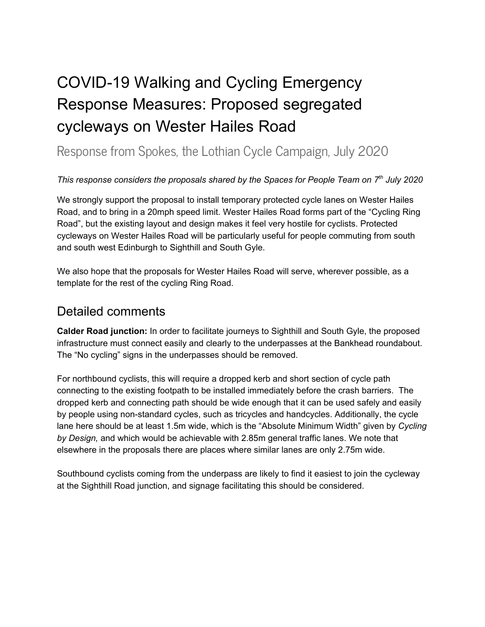# COVID-19 Walking and Cycling Emergency Response Measures: Proposed segregated cycleways on Wester Hailes Road

## Response from Spokes, the Lothian Cycle Campaign, July 2020

#### *This response considers the proposals shared by the Spaces for People Team on 7 th July 2020*

We strongly support the proposal to install temporary protected cycle lanes on Wester Hailes Road, and to bring in a 20mph speed limit. Wester Hailes Road forms part of the "Cycling Ring Road", but the existing layout and design makes it feel very hostile for cyclists. Protected cycleways on Wester Hailes Road will be particularly useful for people commuting from south and south west Edinburgh to Sighthill and South Gyle.

We also hope that the proposals for Wester Hailes Road will serve, wherever possible, as a template for the rest of the cycling Ring Road.

## Detailed comments

**Calder Road junction:** In order to facilitate journeys to Sighthill and South Gyle, the proposed infrastructure must connect easily and clearly to the underpasses at the Bankhead roundabout. The "No cycling" signs in the underpasses should be removed.

For northbound cyclists, this will require a dropped kerb and short section of cycle path connecting to the existing footpath to be installed immediately before the crash barriers. The dropped kerb and connecting path should be wide enough that it can be used safely and easily by people using non-standard cycles, such as tricycles and handcycles. Additionally, the cycle lane here should be at least 1.5m wide, which is the "Absolute Minimum Width" given by *Cycling by Design,* and which would be achievable with 2.85m general traffic lanes. We note that elsewhere in the proposals there are places where similar lanes are only 2.75m wide.

Southbound cyclists coming from the underpass are likely to find it easiest to join the cycleway at the Sighthill Road junction, and signage facilitating this should be considered.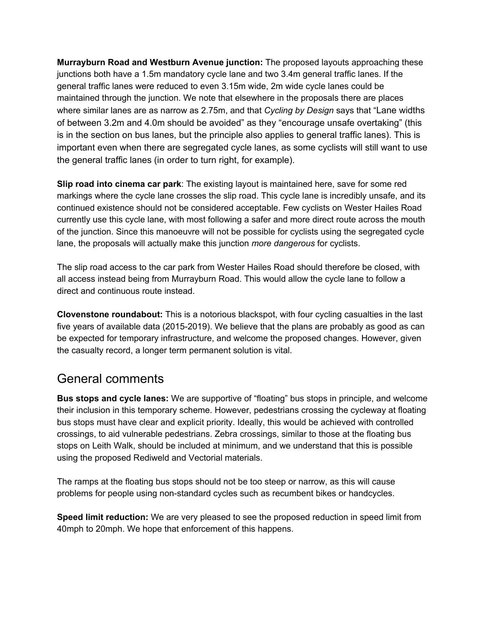**Murrayburn Road and Westburn Avenue junction:** The proposed layouts approaching these junctions both have a 1.5m mandatory cycle lane and two 3.4m general traffic lanes. If the general traffic lanes were reduced to even 3.15m wide, 2m wide cycle lanes could be maintained through the junction. We note that elsewhere in the proposals there are places where similar lanes are as narrow as 2.75m, and that *Cycling by Design* says that "Lane widths of between 3.2m and 4.0m should be avoided" as they "encourage unsafe overtaking" (this is in the section on bus lanes, but the principle also applies to general traffic lanes). This is important even when there are segregated cycle lanes, as some cyclists will still want to use the general traffic lanes (in order to turn right, for example).

**Slip road into cinema car park**: The existing layout is maintained here, save for some red markings where the cycle lane crosses the slip road. This cycle lane is incredibly unsafe, and its continued existence should not be considered acceptable. Few cyclists on Wester Hailes Road currently use this cycle lane, with most following a safer and more direct route across the mouth of the junction. Since this manoeuvre will not be possible for cyclists using the segregated cycle lane, the proposals will actually make this junction *more dangerous* for cyclists.

The slip road access to the car park from Wester Hailes Road should therefore be closed, with all access instead being from Murrayburn Road. This would allow the cycle lane to follow a direct and continuous route instead.

**Clovenstone roundabout:** This is a notorious blackspot, with four cycling casualties in the last five years of available data (2015-2019). We believe that the plans are probably as good as can be expected for temporary infrastructure, and welcome the proposed changes. However, given the casualty record, a longer term permanent solution is vital.

### General comments

**Bus stops and cycle lanes:** We are supportive of "floating" bus stops in principle, and welcome their inclusion in this temporary scheme. However, pedestrians crossing the cycleway at floating bus stops must have clear and explicit priority. Ideally, this would be achieved with controlled crossings, to aid vulnerable pedestrians. Zebra crossings, similar to those at the floating bus stops on Leith Walk, should be included at minimum, and we understand that this is possible using the proposed Rediweld and Vectorial materials.

The ramps at the floating bus stops should not be too steep or narrow, as this will cause problems for people using non-standard cycles such as recumbent bikes or handcycles.

**Speed limit reduction:** We are very pleased to see the proposed reduction in speed limit from 40mph to 20mph. We hope that enforcement of this happens.